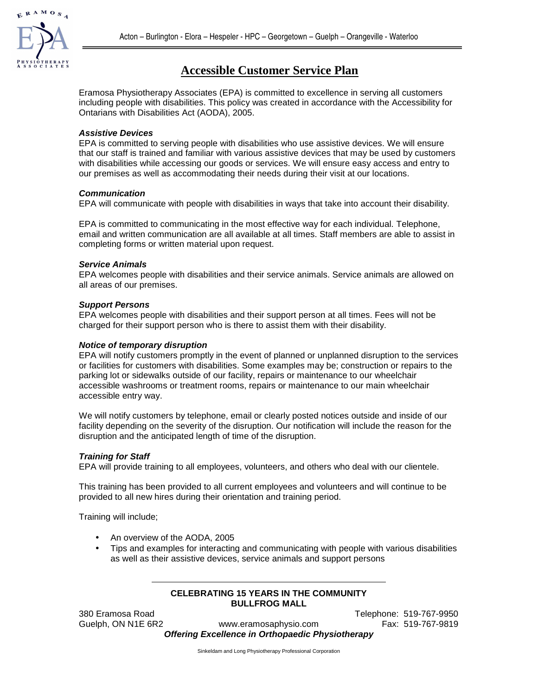

# **Accessible Customer Service Plan**

Eramosa Physiotherapy Associates (EPA) is committed to excellence in serving all customers including people with disabilities. This policy was created in accordance with the Accessibility for Ontarians with Disabilities Act (AODA), 2005.

## **Assistive Devices**

EPA is committed to serving people with disabilities who use assistive devices. We will ensure that our staff is trained and familiar with various assistive devices that may be used by customers with disabilities while accessing our goods or services. We will ensure easy access and entry to our premises as well as accommodating their needs during their visit at our locations.

#### **Communication**

EPA will communicate with people with disabilities in ways that take into account their disability.

EPA is committed to communicating in the most effective way for each individual. Telephone, email and written communication are all available at all times. Staff members are able to assist in completing forms or written material upon request.

#### **Service Animals**

EPA welcomes people with disabilities and their service animals. Service animals are allowed on all areas of our premises.

#### **Support Persons**

EPA welcomes people with disabilities and their support person at all times. Fees will not be charged for their support person who is there to assist them with their disability.

### **Notice of temporary disruption**

EPA will notify customers promptly in the event of planned or unplanned disruption to the services or facilities for customers with disabilities. Some examples may be; construction or repairs to the parking lot or sidewalks outside of our facility, repairs or maintenance to our wheelchair accessible washrooms or treatment rooms, repairs or maintenance to our main wheelchair accessible entry way.

We will notify customers by telephone, email or clearly posted notices outside and inside of our facility depending on the severity of the disruption. Our notification will include the reason for the disruption and the anticipated length of time of the disruption.

## **Training for Staff**

EPA will provide training to all employees, volunteers, and others who deal with our clientele.

This training has been provided to all current employees and volunteers and will continue to be provided to all new hires during their orientation and training period.

Training will include;

- An overview of the AODA, 2005
- Tips and examples for interacting and communicating with people with various disabilities as well as their assistive devices, service animals and support persons

#### **CELEBRATING 15 YEARS IN THE COMMUNITY BULLFROG MALL**

380 Eramosa Road Telephone: 519-767-9950

Guelph, ON N1E 6R2 www.eramosaphysio.com Fax: 519-767-9819 **Offering Excellence in Orthopaedic Physiotherapy** 

Sinkeldam and Long Physiotherapy Professional Corporation